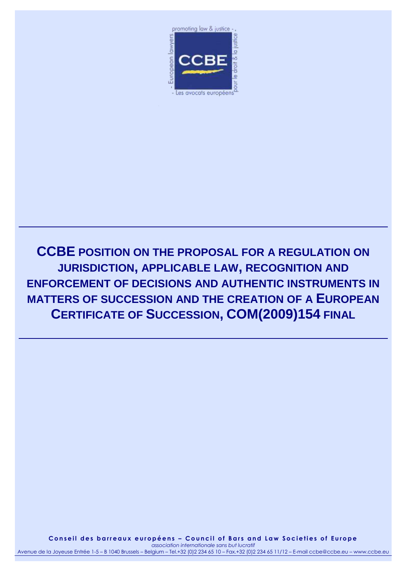

**CCBE POSITION ON THE PROPOSAL FOR A REGULATION ON JURISDICTION, APPLICABLE LAW, RECOGNITION AND ENFORCEMENT OF DECISIONS AND AUTHENTIC INSTRUMENTS IN MATTERS OF SUCCESSION AND THE CREATION OF A EUROPEAN CERTIFICATE OF SUCCESSION, COM(2009)154 FINAL**

**C o n s e i l d e s b a r r e a u x e u r o p é e n s – C o u n c i l o f B a r s a n d L a w S o c i e t i e s o f E u r o p e** *association internationale sans but lucratif* Avenue de la Joyeuse Entrée 1-5 – B 1040 Brussels – Belgium – Tel.+32 (0)2 234 65 10 – Fax.+32 (0)2 234 65 11/12 – E-mail ccbe@ccbe.eu – www.ccbe.eu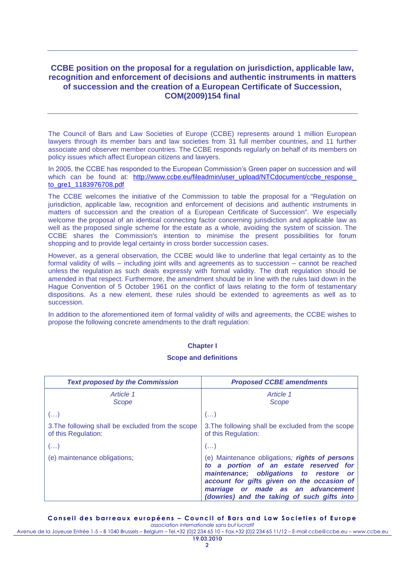# **CCBE position on the proposal for a regulation on jurisdiction, applicable law, recognition and enforcement of decisions and authentic instruments in matters of succession and the creation of a European Certificate of Succession, COM(2009)154 final**

The Council of Bars and Law Societies of Europe (CCBE) represents around 1 million European lawyers through its member bars and law societies from 31 full member countries, and 11 further associate and observer member countries. The CCBE responds regularly on behalf of its members on policy issues which affect European citizens and lawyers.

In 2005, the CCBE has responded to the European Commission's Green paper on succession and will which can be found at: http://www.ccbe.eu/fileadmin/user\_upload/NTCdocument/ccbe\_response [to\\_gre1\\_1183976708.pdf](http://www.ccbe.eu/fileadmin/user_upload/NTCdocument/ccbe_response_%0bto_gre1_1183976708.pdf)

The CCBE welcomes the initiative of the Commission to table the proposal for a "Regulation on jurisdiction, applicable law, recognition and enforcement of decisions and authentic instruments in matters of succession and the creation of a European Certificate of Succession". We especially welcome the proposal of an identical connecting factor concerning jurisdiction and applicable law as well as the proposed single scheme for the estate as a whole, avoiding the system of scission. The CCBE shares the Commission's intention to minimise the present possibilities for forum shopping and to provide legal certainty in cross border succession cases.

However, as a general observation, the CCBE would like to underline that legal certainty as to the formal validity of wills – including joint wills and agreements as to succession – cannot be reached unless the regulation as such deals expressly with formal validity. The draft regulation should be amended in that respect. Furthermore, the amendment should be in line with the rules laid down in the Hague Convention of 5 October 1961 on the conflict of laws relating to the form of testamentary dispositions. As a new element, these rules should be extended to agreements as well as to succession.

In addition to the aforementioned item of formal validity of wills and agreements, the CCBE wishes to propose the following concrete amendments to the draft regulation:

### **Chapter I**

#### **Scope and definitions**

| <b>Text proposed by the Commission</b>                                   | <b>Proposed CCBE amendments</b>                                                                                                                                                                                                                                       |
|--------------------------------------------------------------------------|-----------------------------------------------------------------------------------------------------------------------------------------------------------------------------------------------------------------------------------------------------------------------|
| Article 1<br>Scope                                                       | Article 1<br>Scope                                                                                                                                                                                                                                                    |
| $\left( \ldots \right)$                                                  | $\left( \ldots \right)$                                                                                                                                                                                                                                               |
| 3. The following shall be excluded from the scope<br>of this Regulation: | 3. The following shall be excluded from the scope<br>of this Regulation:                                                                                                                                                                                              |
| $(\ldots)$                                                               | $($ )                                                                                                                                                                                                                                                                 |
| (e) maintenance obligations;                                             | (e) Maintenance obligations; rights of persons<br>to a portion of an estate reserved for<br>maintenance; obligations to restore or<br>account for gifts given on the occasion of<br>marriage or made as an advancement<br>(dowries) and the taking of such gifts into |

#### **C o n s e i l d e s b a r r e a u x e u r o p é e n s – C o u n c i l o f B a r s a n d L a w S o c i e t i e s o f E u r o p e**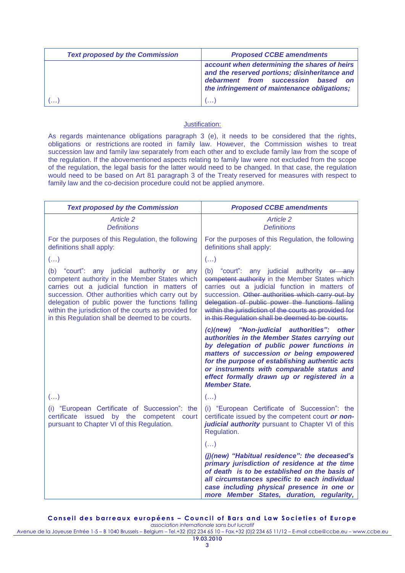| <b>Text proposed by the Commission</b> | <b>Proposed CCBE amendments</b>                                                                                                                                                     |
|----------------------------------------|-------------------------------------------------------------------------------------------------------------------------------------------------------------------------------------|
|                                        | account when determining the shares of heirs<br>and the reserved portions; disinheritance and<br>debarment from succession based on<br>the infringement of maintenance obligations; |
|                                        |                                                                                                                                                                                     |

As regards maintenance obligations paragraph 3 (e), it needs to be considered that the rights, obligations or restrictions are rooted in family law. However, the Commission wishes to treat succession law and family law separately from each other and to exclude family law from the scope of the regulation. If the abovementioned aspects relating to family law were not excluded from the scope of the regulation, the legal basis for the latter would need to be changed. In that case, the regulation would need to be based on Art 81 paragraph 3 of the Treaty reserved for measures with respect to family law and the co-decision procedure could not be applied anymore.

| <b>Text proposed by the Commission</b>                                                                                                                                                                                                                                                                                                                             | <b>Proposed CCBE amendments</b>                                                                                                                                                                                                                                                                                                                                    |
|--------------------------------------------------------------------------------------------------------------------------------------------------------------------------------------------------------------------------------------------------------------------------------------------------------------------------------------------------------------------|--------------------------------------------------------------------------------------------------------------------------------------------------------------------------------------------------------------------------------------------------------------------------------------------------------------------------------------------------------------------|
| Article 2<br><b>Definitions</b>                                                                                                                                                                                                                                                                                                                                    | Article 2<br><b>Definitions</b>                                                                                                                                                                                                                                                                                                                                    |
| For the purposes of this Regulation, the following<br>definitions shall apply:                                                                                                                                                                                                                                                                                     | For the purposes of this Regulation, the following<br>definitions shall apply:                                                                                                                                                                                                                                                                                     |
| $\left( \ldots \right)$                                                                                                                                                                                                                                                                                                                                            | $\left(\ldots\right)$                                                                                                                                                                                                                                                                                                                                              |
| (b) "court": any judicial authority or any<br>competent authority in the Member States which<br>carries out a judicial function in matters of<br>succession. Other authorities which carry out by<br>delegation of public power the functions falling<br>within the jurisdiction of the courts as provided for<br>in this Regulation shall be deemed to be courts. | (b) "court": any judicial authority or any<br>competent authority in the Member States which<br>carries out a judicial function in matters of<br>succession. Other authorities which carry out by<br>delegation of public power the functions falling<br>within the jurisdiction of the courts as provided for<br>in this Regulation shall be deemed to be courts. |
|                                                                                                                                                                                                                                                                                                                                                                    | (c)(new) "Non-judicial authorities": other<br>authorities in the Member States carrying out<br>by delegation of public power functions in<br>matters of succession or being empowered<br>for the purpose of establishing authentic acts<br>or instruments with comparable status and<br>effect formally drawn up or registered in a<br><b>Member State.</b>        |
| $\left(\ldots\right)$                                                                                                                                                                                                                                                                                                                                              | $\left(\ldots\right)$                                                                                                                                                                                                                                                                                                                                              |
| (i) "European Certificate of Succession": the<br>certificate issued by the competent<br>court<br>pursuant to Chapter VI of this Regulation.                                                                                                                                                                                                                        | (i) "European Certificate of Succession": the<br>certificate issued by the competent court or non-<br>judicial authority pursuant to Chapter VI of this<br>Regulation.                                                                                                                                                                                             |
|                                                                                                                                                                                                                                                                                                                                                                    | $\left( \ldots \right)$                                                                                                                                                                                                                                                                                                                                            |
|                                                                                                                                                                                                                                                                                                                                                                    | (j)(new) "Habitual residence": the deceased's<br>primary jurisdiction of residence at the time<br>of death is to be established on the basis of<br>all circumstances specific to each individual<br>case including physical presence in one or<br>more Member States, duration, regularity,                                                                        |

**Conseil des barreaux européens - Council of Bars and Law Societies of Europe**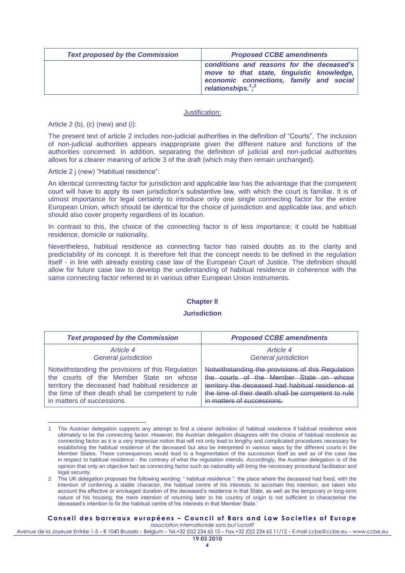| <b>Text proposed by the Commission</b> | <b>Proposed CCBE amendments</b>                                                                                                                           |
|----------------------------------------|-----------------------------------------------------------------------------------------------------------------------------------------------------------|
|                                        | conditions and reasons for the deceased's<br>move to that state, linguistic knowledge,<br>economic connections, family and social<br>relationships. $1,2$ |

Article 2 (b), (c) (new) and (i):

 $\overline{a}$ 

The present text of article 2 includes non-judicial authorities in the definition of "Courts". The inclusion of non-judicial authorities appears inappropriate given the different nature and functions of the authorities concerned. In addition, separating the definition of judicial and non-judicial authorities allows for a clearer meaning of article 3 of the draft (which may then remain unchanged).

Article 2 j (new) "Habitual residence":

An identical connecting factor for jurisdiction and applicable law has the advantage that the competent court will have to apply its own jurisdiction"s substantive law, with which the court is familiar. It is of utmost importance for legal certainty to introduce only one single connecting factor for the entire European Union, which should be identical for the choice of jurisdiction and applicable law, and which should also cover property regardless of its location.

In contrast to this, the choice of the connecting factor is of less importance; it could be habitual residence, domicile or nationality.

Nevertheless, habitual residence as connecting factor has raised doubts as to the clarity and predictability of its concept. It is therefore felt that the concept needs to be defined in the regulation itself - in line with already existing case law of the European Court of Justice. The definition should allow for future case law to develop the understanding of habitual residence in coherence with the same connecting factor referred to in various other European Union instruments.

## **Chapter II**

#### **Jurisdiction**

| <b>Text proposed by the Commission</b>             | <b>Proposed CCBE amendments</b>                    |
|----------------------------------------------------|----------------------------------------------------|
| Article 4                                          | Article 4                                          |
| <b>General jurisdiction</b>                        | <b>General jurisdiction</b>                        |
| Notwithstanding the provisions of this Regulation  | Notwithstanding the provisions of this Regulation  |
| the courts of the Member State on whose            | the courts of the Member State on whose            |
| territory the deceased had habitual residence at   | territory the deceased had habitual residence at   |
| the time of their death shall be competent to rule | the time of their death shall be competent to rule |
| in matters of successions.                         | in matters of successions                          |

The Austrian delegation supports any attempt to find a clearer definition of habitual residence if habitual residence were ultimately to be the connecting factor. However, the Austrian delegation disagrees with the choice of habitual residence as connecting factor as it is a very imprecise notion that will not only lead to lengthy and complicated procedures necessary for establishing the habitual residence of the deceased but also be interpreted in various ways by the different courts in the Member States. These consequences would lead to a fragmentation of the succession itself as well as of the case law in respect to habitual residence - the contrary of what the regulation intends. Accordingly, the Austrian delegation is of the opinion that only an objective fact as connecting factor such as nationality will bring the necessary procedural facilitation and legal security.

## **C o n s e i l d e s b a r r e a u x e u r o p é e n s – C o u n c i l o f B a r s a n d L a w S o c i e t i e s o f E u r o p e**

<sup>2</sup> The UK delegation proposes the following wording: " habitual residence ": the place where the deceased had fixed, with the intention of conferring a stable character, the habitual centre of his interests; to ascertain this intention, are taken into account the effective or envisaged duration of the deceased"s residence in that State, as well as the temporary or long-term nature of his housing; the mere intention of returning later to his country of origin is not sufficient to characterise the deceased's intention to fix the habitual centre of his interests in that Member State.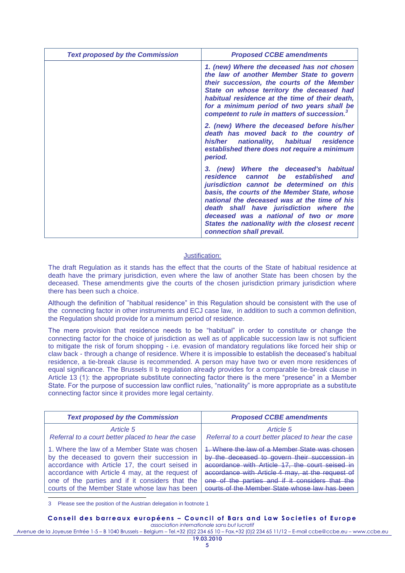| <b>Text proposed by the Commission</b> | <b>Proposed CCBE amendments</b>                                                                                                                                                                                                                                                                                                                                                                   |
|----------------------------------------|---------------------------------------------------------------------------------------------------------------------------------------------------------------------------------------------------------------------------------------------------------------------------------------------------------------------------------------------------------------------------------------------------|
|                                        | 1. (new) Where the deceased has not chosen<br>the law of another Member State to govern<br>their succession, the courts of the Member<br>State on whose territory the deceased had<br>habitual residence at the time of their death,<br>for a minimum period of two years shall be<br>competent to rule in matters of succession. <sup>3</sup>                                                    |
|                                        | 2. (new) Where the deceased before his/her<br>death has moved back to the country of<br>nationality, habitual residence<br>his/her<br>established there does not require a minimum<br>period.                                                                                                                                                                                                     |
|                                        | 3. (new) Where the deceased's habitual<br>residence cannot be established<br>and<br>jurisdiction cannot be determined on this<br>basis, the courts of the Member State, whose<br>national the deceased was at the time of his<br>death shall have jurisdiction where the<br>deceased was a national of two or more<br>States the nationality with the closest recent<br>connection shall prevail. |

The draft Regulation as it stands has the effect that the courts of the State of habitual residence at death have the primary jurisdiction, even where the law of another State has been chosen by the deceased. These amendments give the courts of the chosen jurisdiction primary jurisdiction where there has been such a choice.

Although the definition of "habitual residence" in this Regulation should be consistent with the use of the connecting factor in other instruments and ECJ case law, in addition to such a common definition, the Regulation should provide for a minimum period of residence.

The mere provision that residence needs to be "habitual" in order to constitute or change the connecting factor for the choice of jurisdiction as well as of applicable succession law is not sufficient to mitigate the risk of forum shopping - i.e. evasion of mandatory regulations like forced heir ship or claw back - through a change of residence. Where it is impossible to establish the deceased"s habitual residence, a tie-break clause is recommended. A person may have two or even more residences of equal significance. The Brussels II b regulation already provides for a comparable tie-break clause in Article 13 (1): the appropriate substitute connecting factor there is the mere "presence" in a Member State. For the purpose of succession law conflict rules, "nationality" is more appropriate as a substitute connecting factor since it provides more legal certainty.

| <b>Text proposed by the Commission</b>             | <b>Proposed CCBE amendments</b>                    |
|----------------------------------------------------|----------------------------------------------------|
| Article 5                                          | Article 5                                          |
| Referral to a court better placed to hear the case | Referral to a court better placed to hear the case |
| 1. Where the law of a Member State was chosen      | Where the law of a Member State was chosen         |
| by the deceased to govern their succession in      | by the deceased to govern their succession in      |
| accordance with Article 17, the court seised in    | accordance with Article 17, the court seised in    |
| accordance with Article 4 may, at the request of   | accordance with Article 4 may, at the request of   |
| one of the parties and if it considers that the    | one of the parties and if it considers that the    |
| courts of the Member State whose law has been      | courts of the Member State whose law has been      |

3 Please see the position of the Austrian delegation in footnote 1

#### **C o n s e i l d e s b a r r e a u x e u r o p é e n s – C o u n c i l o f B a r s a n d L a w S o c i e t i e s o f E u r o p e** *association internationale sans but lucratif*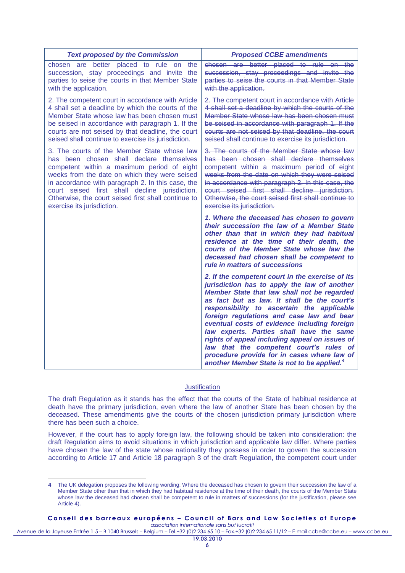| <b>Text proposed by the Commission</b>                                                                                                                                                                                                                                                                                                                                             | <b>Proposed CCBE amendments</b>                                                                                                                                                                                                                                                                                                                                                                                                                                                                                                                                                              |
|------------------------------------------------------------------------------------------------------------------------------------------------------------------------------------------------------------------------------------------------------------------------------------------------------------------------------------------------------------------------------------|----------------------------------------------------------------------------------------------------------------------------------------------------------------------------------------------------------------------------------------------------------------------------------------------------------------------------------------------------------------------------------------------------------------------------------------------------------------------------------------------------------------------------------------------------------------------------------------------|
| chosen are better placed to rule on<br>the<br>succession, stay proceedings and invite the<br>parties to seise the courts in that Member State<br>with the application.                                                                                                                                                                                                             | chosen are better placed to rule on the<br>succession, stay proceedings and invite the<br>parties to seise the courts in that Member State<br>with the application.                                                                                                                                                                                                                                                                                                                                                                                                                          |
| 2. The competent court in accordance with Article<br>4 shall set a deadline by which the courts of the<br>Member State whose law has been chosen must<br>be seised in accordance with paragraph 1. If the<br>courts are not seised by that deadline, the court<br>seised shall continue to exercise its jurisdiction.                                                              | 2. The competent court in accordance with Article<br>4 shall set a deadline by which the courts of the<br>Member State whose law has been chosen must<br>be seised in accordance with paragraph 1. If the<br>courts are not seised by that deadline, the court<br>seised shall continue to exercise its jurisdiction.                                                                                                                                                                                                                                                                        |
| 3. The courts of the Member State whose law<br>has been chosen shall declare themselves<br>competent within a maximum period of eight<br>weeks from the date on which they were seised<br>in accordance with paragraph 2. In this case, the<br>court seised first shall decline jurisdiction.<br>Otherwise, the court seised first shall continue to<br>exercise its jurisdiction. | 3. The courts of the Member State whose law<br>has been chosen shall declare themselves<br>competent within a maximum period of eight<br>weeks from the date on which they were seised<br>in accordance with paragraph 2. In this case, the<br>court seised first shall decline jurisdiction.<br>Otherwise, the court seised first shall continue to<br>exercise its jurisdiction.                                                                                                                                                                                                           |
|                                                                                                                                                                                                                                                                                                                                                                                    | 1. Where the deceased has chosen to govern<br>their succession the law of a Member State<br>other than that in which they had habitual<br>residence at the time of their death, the<br>courts of the Member State whose law the<br>deceased had chosen shall be competent to<br>rule in matters of successions                                                                                                                                                                                                                                                                               |
|                                                                                                                                                                                                                                                                                                                                                                                    | 2. If the competent court in the exercise of its<br>jurisdiction has to apply the law of another<br>Member State that law shall not be regarded<br>as fact but as law. It shall be the court's<br>responsibility to ascertain the applicable<br>foreign regulations and case law and bear<br>eventual costs of evidence including foreign<br>law experts. Parties shall have the same<br>rights of appeal including appeal on issues of<br>law that the competent court's rules of<br>procedure provide for in cases where law of<br>another Member State is not to be applied. <sup>4</sup> |

The draft Regulation as it stands has the effect that the courts of the State of habitual residence at death have the primary jurisdiction, even where the law of another State has been chosen by the deceased. These amendments give the courts of the chosen jurisdiction primary jurisdiction where there has been such a choice.

However, if the court has to apply foreign law, the following should be taken into consideration: the draft Regulation aims to avoid situations in which jurisdiction and applicable law differ. Where parties have chosen the law of the state whose nationality they possess in order to govern the succession according to Article 17 and Article 18 paragraph 3 of the draft Regulation, the competent court under

 $\overline{a}$ 

**Conseil des barreaux européens - Council of Bars and Law Societies of Europe** *association internationale sans but lucratif*

**<sup>4</sup>** The UK delegation proposes the following wording: Where the deceased has chosen to govern their succession the law of a Member State other than that in which they had habitual residence at the time of their death, the courts of the Member State whose law the deceased had chosen shall be competent to rule in matters of successions (for the justification, please see Article 4).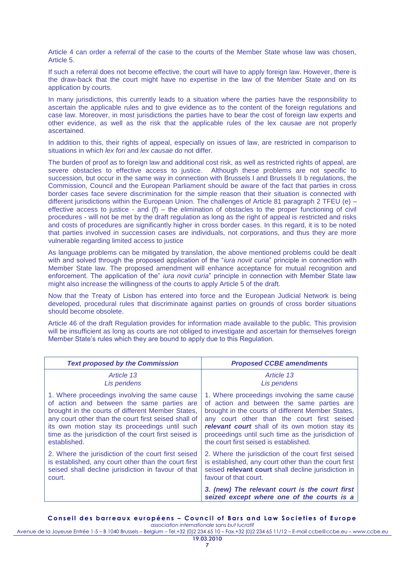Article 4 can order a referral of the case to the courts of the Member State whose law was chosen, Article 5.

If such a referral does not become effective, the court will have to apply foreign law. However, there is the draw-back that the court might have no expertise in the law of the Member State and on its application by courts.

In many jurisdictions, this currently leads to a situation where the parties have the responsibility to ascertain the applicable rules and to give evidence as to the content of the foreign regulations and case law. Moreover, in most jurisdictions the parties have to bear the cost of foreign law experts and other evidence, as well as the risk that the applicable rules of the lex causae are not properly ascertained.

In addition to this, their rights of appeal, especially on issues of law, are restricted in comparison to situations in which *lex fori* and *lex causae* do not differ.

The burden of proof as to foreign law and additional cost risk, as well as restricted rights of appeal, are severe obstacles to effective access to justice. Although these problems are not specific to succession, but occur in the same way in connection with Brussels I and Brussels II b regulations, the Commission, Council and the European Parliament should be aware of the fact that parties in cross border cases face severe discrimination for the simple reason that their situation is connected with different jurisdictions within the European Union. The challenges of Article 81 paragraph 2 TFEU (e) – effective access to justice - and  $(f)$  – the elimination of obstacles to the proper functioning of civil procedures - will not be met by the draft regulation as long as the right of appeal is restricted and risks and costs of procedures are significantly higher in cross border cases. In this regard, it is to be noted that parties involved in succession cases are individuals, not corporations, and thus they are more vulnerable regarding limited access to justice

As language problems can be mitigated by translation, the above mentioned problems could be dealt with and solved through the proposed application of the "*iura novit curia*" principle in connection with Member State law. The proposed amendment will enhance acceptance for mutual recognition and enforcement. The application of the" *iura novit curia*" principle in connection with Member State law might also increase the willingness of the courts to apply Article 5 of the draft.

Now that the Treaty of Lisbon has entered into force and the European Judicial Network is being developed, procedural rules that discriminate against parties on grounds of cross border situations should become obsolete.

Article 46 of the draft Regulation provides for information made available to the public. This provision will be insufficient as long as courts are not obliged to investigate and ascertain for themselves foreign Member State's rules which they are bound to apply due to this Regulation.

| <b>Text proposed by the Commission</b>                | <b>Proposed CCBE amendments</b>                                                              |
|-------------------------------------------------------|----------------------------------------------------------------------------------------------|
| Article 13                                            | Article 13                                                                                   |
| Lis pendens                                           | Lis pendens                                                                                  |
| 1. Where proceedings involving the same cause         | 1. Where proceedings involving the same cause                                                |
| of action and between the same parties are            | of action and between the same parties are                                                   |
| brought in the courts of different Member States,     | brought in the courts of different Member States,                                            |
| any court other than the court first seised shall of  | any court other than the court first seised                                                  |
| its own motion stay its proceedings until such        | relevant court shall of its own motion stay its                                              |
| time as the jurisdiction of the court first seised is | proceedings until such time as the jurisdiction of                                           |
| established.                                          | the court first seised is established.                                                       |
| 2. Where the jurisdiction of the court first seised   | 2. Where the jurisdiction of the court first seised                                          |
| is established, any court other than the court first  | is established, any court other than the court first                                         |
| seised shall decline jurisdiction in favour of that   | seised relevant court shall decline jurisdiction in                                          |
| court.                                                | favour of that court.                                                                        |
|                                                       | 3. (new) The relevant court is the court first<br>seized except where one of the courts is a |

#### **C o n s e i l d e s b a r r e a u x e u r o p é e n s – C o u n c i l o f B a r s a n d L a w S o c i e t i e s o f E u r o p e**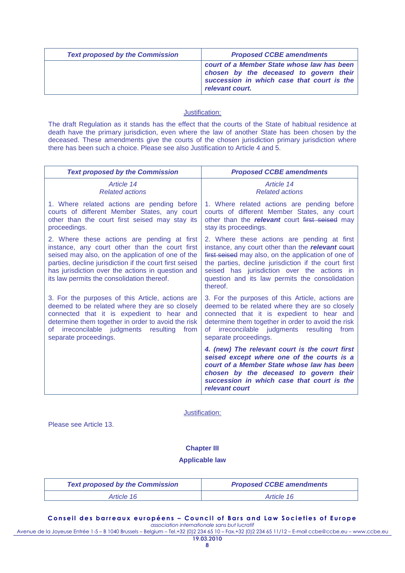| <b>Text proposed by the Commission</b> | <b>Proposed CCBE amendments</b>                                                                                                                       |
|----------------------------------------|-------------------------------------------------------------------------------------------------------------------------------------------------------|
|                                        | court of a Member State whose law has been<br>chosen by the deceased to govern their<br>succession in which case that court is the<br>relevant court. |

The draft Regulation as it stands has the effect that the courts of the State of habitual residence at death have the primary jurisdiction, even where the law of another State has been chosen by the deceased. These amendments give the courts of the chosen jurisdiction primary jurisdiction where there has been such a choice. Please see also Justification to Article 4 and 5.

| <b>Text proposed by the Commission</b>                                                                                                                                                                                                                                                                           | <b>Proposed CCBE amendments</b>                                                                                                                                                                                                                                                                                              |
|------------------------------------------------------------------------------------------------------------------------------------------------------------------------------------------------------------------------------------------------------------------------------------------------------------------|------------------------------------------------------------------------------------------------------------------------------------------------------------------------------------------------------------------------------------------------------------------------------------------------------------------------------|
| Article 14                                                                                                                                                                                                                                                                                                       | Article 14                                                                                                                                                                                                                                                                                                                   |
| <b>Related actions</b>                                                                                                                                                                                                                                                                                           | <b>Related actions</b>                                                                                                                                                                                                                                                                                                       |
| 1. Where related actions are pending before                                                                                                                                                                                                                                                                      | 1. Where related actions are pending before                                                                                                                                                                                                                                                                                  |
| courts of different Member States, any court                                                                                                                                                                                                                                                                     | courts of different Member States, any court                                                                                                                                                                                                                                                                                 |
| other than the court first seised may stay its                                                                                                                                                                                                                                                                   | other than the relevant court first seised may                                                                                                                                                                                                                                                                               |
| proceedings.                                                                                                                                                                                                                                                                                                     | stay its proceedings.                                                                                                                                                                                                                                                                                                        |
| 2. Where these actions are pending at first<br>instance, any court other than the court first<br>seised may also, on the application of one of the<br>parties, decline jurisdiction if the court first seised<br>has jurisdiction over the actions in question and<br>its law permits the consolidation thereof. | 2. Where these actions are pending at first<br>instance, any court other than the relevant court<br>first seised may also, on the application of one of<br>the parties, decline jurisdiction if the court first<br>seised has jurisdiction over the actions in<br>question and its law permits the consolidation<br>thereof. |
| 3. For the purposes of this Article, actions are                                                                                                                                                                                                                                                                 | 3. For the purposes of this Article, actions are                                                                                                                                                                                                                                                                             |
| deemed to be related where they are so closely                                                                                                                                                                                                                                                                   | deemed to be related where they are so closely                                                                                                                                                                                                                                                                               |
| connected that it is expedient to hear and                                                                                                                                                                                                                                                                       | connected that it is expedient to hear and                                                                                                                                                                                                                                                                                   |
| determine them together in order to avoid the risk                                                                                                                                                                                                                                                               | determine them together in order to avoid the risk                                                                                                                                                                                                                                                                           |
| of irreconcilable judgments resulting                                                                                                                                                                                                                                                                            | irreconcilable judgments resulting from                                                                                                                                                                                                                                                                                      |
| from                                                                                                                                                                                                                                                                                                             | of l                                                                                                                                                                                                                                                                                                                         |
| separate proceedings.                                                                                                                                                                                                                                                                                            | separate proceedings.                                                                                                                                                                                                                                                                                                        |
|                                                                                                                                                                                                                                                                                                                  | 4. (new) The relevant court is the court first<br>seised except where one of the courts is a<br>court of a Member State whose law has been<br>chosen by the deceased to govern their<br>succession in which case that court is the<br>relevant court                                                                         |

### Justification:

Please see Article 13.

## **Chapter III**

#### **Applicable law**

| <b>Text proposed by the Commission</b> | <b>Proposed CCBE amendments</b> |
|----------------------------------------|---------------------------------|
| Article 16                             | Article 16                      |

**Conseil des barreaux européens - Council of Bars and Law Societies of Europe** *association internationale sans but lucratif*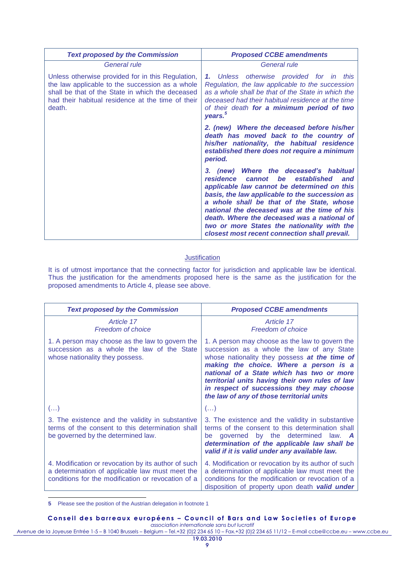| <b>Text proposed by the Commission</b>                                                                                                                                                                                  | <b>Proposed CCBE amendments</b>                                                                                                                                                                                                                                                                                                                                                                                                  |
|-------------------------------------------------------------------------------------------------------------------------------------------------------------------------------------------------------------------------|----------------------------------------------------------------------------------------------------------------------------------------------------------------------------------------------------------------------------------------------------------------------------------------------------------------------------------------------------------------------------------------------------------------------------------|
| General rule                                                                                                                                                                                                            | General rule                                                                                                                                                                                                                                                                                                                                                                                                                     |
| Unless otherwise provided for in this Regulation,<br>the law applicable to the succession as a whole<br>shall be that of the State in which the deceased<br>had their habitual residence at the time of their<br>death. | 1. Unless otherwise provided for in this<br>Regulation, the law applicable to the succession<br>as a whole shall be that of the State in which the<br>deceased had their habitual residence at the time<br>of their death for a minimum period of two<br>years. <sup>3</sup>                                                                                                                                                     |
|                                                                                                                                                                                                                         | 2. (new) Where the deceased before his/her<br>death has moved back to the country of<br>his/her nationality, the habitual residence<br>established there does not require a minimum<br>period.                                                                                                                                                                                                                                   |
|                                                                                                                                                                                                                         | 3. (new) Where the deceased's habitual<br>residence cannot be<br>established<br>and<br>applicable law cannot be determined on this<br>basis, the law applicable to the succession as<br>a whole shall be that of the State, whose<br>national the deceased was at the time of his<br>death. Where the deceased was a national of<br>two or more States the nationality with the<br>closest most recent connection shall prevail. |

It is of utmost importance that the connecting factor for jurisdiction and applicable law be identical. Thus the justification for the amendments proposed here is the same as the justification for the proposed amendments to Article 4, please see above.

| <b>Text proposed by the Commission</b>                                                                                                                       | <b>Proposed CCBE amendments</b>                                                                                                                                                                                                                                                                                                                                                    |
|--------------------------------------------------------------------------------------------------------------------------------------------------------------|------------------------------------------------------------------------------------------------------------------------------------------------------------------------------------------------------------------------------------------------------------------------------------------------------------------------------------------------------------------------------------|
| Article 17<br><b>Freedom of choice</b>                                                                                                                       | Article 17<br><b>Freedom of choice</b>                                                                                                                                                                                                                                                                                                                                             |
| 1. A person may choose as the law to govern the<br>succession as a whole the law of the State<br>whose nationality they possess.                             | 1. A person may choose as the law to govern the<br>succession as a whole the law of any State<br>whose nationality they possess at the time of<br>making the choice. Where a person is a<br>national of a State which has two or more<br>territorial units having their own rules of law<br>in respect of successions they may choose<br>the law of any of those territorial units |
| $\left( \ldots \right)$                                                                                                                                      | $\left( \ldots \right)$                                                                                                                                                                                                                                                                                                                                                            |
| 3. The existence and the validity in substantive<br>terms of the consent to this determination shall<br>be governed by the determined law.                   | 3. The existence and the validity in substantive<br>terms of the consent to this determination shall<br>be governed by the determined<br>law. $A$<br>determination of the applicable law shall be<br>valid if it is valid under any available law.                                                                                                                                 |
| 4. Modification or revocation by its author of such<br>a determination of applicable law must meet the<br>conditions for the modification or revocation of a | 4. Modification or revocation by its author of such<br>a determination of applicable law must meet the<br>conditions for the modification or revocation of a<br>disposition of property upon death valid under                                                                                                                                                                     |

 $\overline{a}$ **5** Please see the position of the Austrian delegation in footnote 1

#### **Conseil des barreaux européens - Council of Bars and Law Societies of Europe** *association internationale sans but lucratif*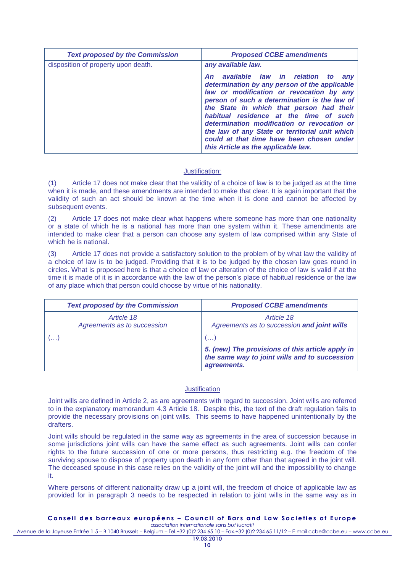| disposition of property upon death.<br>any available law.<br>An available law in relation to<br>any<br>determination by any person of the applicable<br>law or modification or revocation by any<br>person of such a determination is the law of<br>the State in which that person had their<br>habitual residence at the time of such<br>determination modification or revocation or<br>the law of any State or territorial unit which<br>could at that time have been chosen under | <b>Text proposed by the Commission</b> | <b>Proposed CCBE amendments</b>     |
|--------------------------------------------------------------------------------------------------------------------------------------------------------------------------------------------------------------------------------------------------------------------------------------------------------------------------------------------------------------------------------------------------------------------------------------------------------------------------------------|----------------------------------------|-------------------------------------|
|                                                                                                                                                                                                                                                                                                                                                                                                                                                                                      |                                        | this Article as the applicable law. |

(1) Article 17 does not make clear that the validity of a choice of law is to be judged as at the time when it is made, and these amendments are intended to make that clear. It is again important that the validity of such an act should be known at the time when it is done and cannot be affected by subsequent events.

(2) Article 17 does not make clear what happens where someone has more than one nationality or a state of which he is a national has more than one system within it. These amendments are intended to make clear that a person can choose any system of law comprised within any State of which he is national.

(3) Article 17 does not provide a satisfactory solution to the problem of by what law the validity of a choice of law is to be judged. Providing that it is to be judged by the chosen law goes round in circles. What is proposed here is that a choice of law or alteration of the choice of law is valid if at the time it is made of it is in accordance with the law of the person's place of habitual residence or the law of any place which that person could choose by virtue of his nationality.

| <b>Text proposed by the Commission</b>    | <b>Proposed CCBE amendments</b>                                                                                  |
|-------------------------------------------|------------------------------------------------------------------------------------------------------------------|
| Article 18<br>Agreements as to succession | Article 18<br>Agreements as to succession and joint wills                                                        |
|                                           | $\left(\ldots\right)$                                                                                            |
|                                           | 5. (new) The provisions of this article apply in<br>the same way to joint wills and to succession<br>agreements. |

## **Justification**

Joint wills are defined in Article 2, as are agreements with regard to succession. Joint wills are referred to in the explanatory memorandum 4.3 Article 18. Despite this, the text of the draft regulation fails to provide the necessary provisions on joint wills. This seems to have happened unintentionally by the drafters.

Joint wills should be regulated in the same way as agreements in the area of succession because in some jurisdictions joint wills can have the same effect as such agreements. Joint wills can confer rights to the future succession of one or more persons, thus restricting e.g. the freedom of the surviving spouse to dispose of property upon death in any form other than that agreed in the joint will. The deceased spouse in this case relies on the validity of the joint will and the impossibility to change it.

Where persons of different nationality draw up a joint will, the freedom of choice of applicable law as provided for in paragraph 3 needs to be respected in relation to joint wills in the same way as in

# **C o n s e i l d e s b a r r e a u x e u r o p é e n s – C o u n c i l o f B a r s a n d L a w S o c i e t i e s o f E u r o p e**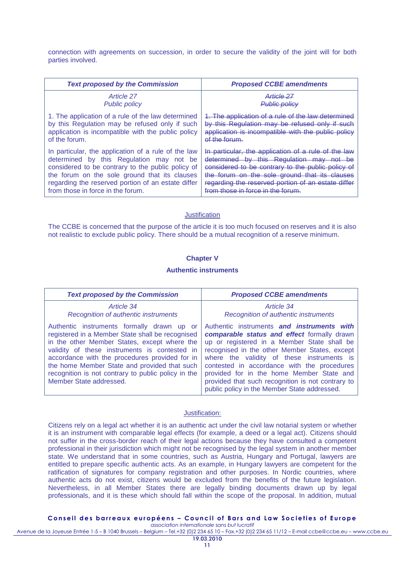connection with agreements on succession, in order to secure the validity of the joint will for both parties involved.

| <b>Text proposed by the Commission</b>              | <b>Proposed CCBE amendments</b>                     |
|-----------------------------------------------------|-----------------------------------------------------|
| Article 27                                          | Article 27                                          |
| <b>Public policy</b>                                | <b>Public policy</b>                                |
| 1. The application of a rule of the law determined  | 1. The application of a rule of the law determined  |
| by this Regulation may be refused only if such      | by this Regulation may be refused only if such      |
| application is incompatible with the public policy  | application is incompatible with the public policy  |
| of the forum.                                       | of the forum.                                       |
| In particular, the application of a rule of the law | In particular, the application of a rule of the law |
| determined by this Regulation may not be            | determined by this Regulation may not be            |
| considered to be contrary to the public policy of   | considered to be contrary to the public policy of   |
| the forum on the sole ground that its clauses       | the forum on the sole ground that its clauses       |
| regarding the reserved portion of an estate differ  | regarding the reserved portion of an estate differ  |
| from those in force in the forum.                   | from those in force in the forum                    |

### **Justification**

The CCBE is concerned that the purpose of the article it is too much focused on reserves and it is also not realistic to exclude public policy. There should be a mutual recognition of a reserve minimum.

## **Chapter V**

#### **Authentic instruments**

| <b>Text proposed by the Commission</b>                                                                                                                                                                                                                                                                                                                                              | <b>Proposed CCBE amendments</b>                                                                                                                                                                                                                                                                                                                                                                                                          |
|-------------------------------------------------------------------------------------------------------------------------------------------------------------------------------------------------------------------------------------------------------------------------------------------------------------------------------------------------------------------------------------|------------------------------------------------------------------------------------------------------------------------------------------------------------------------------------------------------------------------------------------------------------------------------------------------------------------------------------------------------------------------------------------------------------------------------------------|
| Article 34<br>Recognition of authentic instruments                                                                                                                                                                                                                                                                                                                                  | Article 34<br>Recognition of authentic instruments                                                                                                                                                                                                                                                                                                                                                                                       |
| Authentic instruments formally drawn up or<br>registered in a Member State shall be recognised<br>in the other Member States, except where the<br>validity of these instruments is contested in<br>accordance with the procedures provided for in<br>the home Member State and provided that such<br>recognition is not contrary to public policy in the<br>Member State addressed. | Authentic instruments and instruments with<br>comparable status and effect formally drawn<br>up or registered in a Member State shall be<br>recognised in the other Member States, except<br>where the validity of these instruments is<br>contested in accordance with the procedures<br>provided for in the home Member State and<br>provided that such recognition is not contrary to<br>public policy in the Member State addressed. |

## Justification:

Citizens rely on a legal act whether it is an authentic act under the civil law notarial system or whether it is an instrument with comparable legal effects (for example, a deed or a legal act). Citizens should not suffer in the cross-border reach of their legal actions because they have consulted a competent professional in their jurisdiction which might not be recognised by the legal system in another member state. We understand that in some countries, such as Austria, Hungary and Portugal, lawyers are entitled to prepare specific authentic acts. As an example, in Hungary lawyers are competent for the ratification of signatures for company registration and other purposes. In Nordic countries, where authentic acts do not exist, citizens would be excluded from the benefits of the future legislation. Nevertheless, in all Member States there are legally binding documents drawn up by legal professionals, and it is these which should fall within the scope of the proposal. In addition, mutual

#### **C o n s e i l d e s b a r r e a u x e u r o p é e n s – C o u n c i l o f B a r s a n d L a w S o c i e t i e s o f E u r o p e**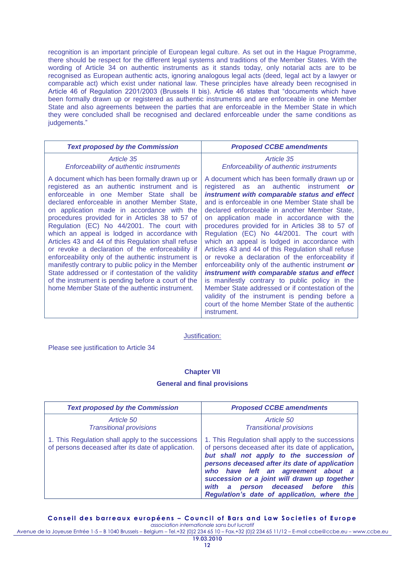recognition is an important principle of European legal culture. As set out in the Hague Programme, there should be respect for the different legal systems and traditions of the Member States. With the wording of Article 34 on authentic instruments as it stands today, only notarial acts are to be recognised as European authentic acts, ignoring analogous legal acts (deed, legal act by a lawyer or comparable act) which exist under national law. These principles have already been recognised in Article 46 of Regulation 2201/2003 (Brussels II bis). Article 46 states that "documents which have been formally drawn up or registered as authentic instruments and are enforceable in one Member State and also agreements between the parties that are enforceable in the Member State in which they were concluded shall be recognised and declared enforceable under the same conditions as judgements."

| <b>Text proposed by the Commission</b>                                                                                                                                                                                                                                                                                                                                                                                                                                                                                                                                                                                                                                                                                                                                         | <b>Proposed CCBE amendments</b>                                                                                                                                                                                                                                                                                                                                                                                                                                                                                                                                                                                                                                                                                                                                                                                                                                                         |
|--------------------------------------------------------------------------------------------------------------------------------------------------------------------------------------------------------------------------------------------------------------------------------------------------------------------------------------------------------------------------------------------------------------------------------------------------------------------------------------------------------------------------------------------------------------------------------------------------------------------------------------------------------------------------------------------------------------------------------------------------------------------------------|-----------------------------------------------------------------------------------------------------------------------------------------------------------------------------------------------------------------------------------------------------------------------------------------------------------------------------------------------------------------------------------------------------------------------------------------------------------------------------------------------------------------------------------------------------------------------------------------------------------------------------------------------------------------------------------------------------------------------------------------------------------------------------------------------------------------------------------------------------------------------------------------|
| Article 35<br>Enforceability of authentic instruments                                                                                                                                                                                                                                                                                                                                                                                                                                                                                                                                                                                                                                                                                                                          | Article 35<br>Enforceability of authentic instruments                                                                                                                                                                                                                                                                                                                                                                                                                                                                                                                                                                                                                                                                                                                                                                                                                                   |
| A document which has been formally drawn up or<br>registered as an authentic instrument and is<br>enforceable in one Member State shall be<br>declared enforceable in another Member State,<br>on application made in accordance with the<br>procedures provided for in Articles 38 to 57 of<br>Regulation (EC) No 44/2001. The court with<br>which an appeal is lodged in accordance with<br>Articles 43 and 44 of this Regulation shall refuse<br>or revoke a declaration of the enforceability if<br>enforceability only of the authentic instrument is<br>manifestly contrary to public policy in the Member<br>State addressed or if contestation of the validity<br>of the instrument is pending before a court of the<br>home Member State of the authentic instrument. | A document which has been formally drawn up or<br>registered as an authentic instrument or<br>instrument with comparable status and effect<br>and is enforceable in one Member State shall be<br>declared enforceable in another Member State,<br>on application made in accordance with the<br>procedures provided for in Articles 38 to 57 of<br>Regulation (EC) No 44/2001. The court with<br>which an appeal is lodged in accordance with<br>Articles 43 and 44 of this Regulation shall refuse<br>or revoke a declaration of the enforceability if<br>enforceability only of the authentic instrument or<br>instrument with comparable status and effect<br>is manifestly contrary to public policy in the<br>Member State addressed or if contestation of the<br>validity of the instrument is pending before a<br>court of the home Member State of the authentic<br>instrument. |

Justification:

Please see justification to Article 34

## **Chapter VII**

### **General and final provisions**

| <b>Text proposed by the Commission</b>                                                                  | <b>Proposed CCBE amendments</b>                                                                                                                                                                                                                                                                                                                                                        |
|---------------------------------------------------------------------------------------------------------|----------------------------------------------------------------------------------------------------------------------------------------------------------------------------------------------------------------------------------------------------------------------------------------------------------------------------------------------------------------------------------------|
| Article 50<br><b>Transitional provisions</b>                                                            | Article 50<br><b>Transitional provisions</b>                                                                                                                                                                                                                                                                                                                                           |
| 1. This Regulation shall apply to the successions<br>of persons deceased after its date of application. | 1. This Regulation shall apply to the successions<br>of persons deceased after its date of application,<br>but shall not apply to the succession of<br>persons deceased after its date of application<br>who have left an agreement about a<br>succession or a joint will drawn up together<br>person deceased before<br>with a<br>this<br>Regulation's date of application, where the |

**C o n s e i l d e s b a r r e a u x e u r o p é e n s – C o u n c i l o f B a r s a n d L a w S o c i e t i e s o f E u r o p e**